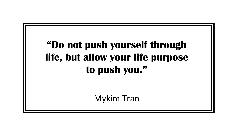#### **"Do not push yourself through life, but allow your life purpose to push you."**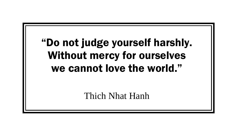#### "Do not judge yourself harshly. Without mercy for ourselves we cannot love the world."

Thich Nhat Hanh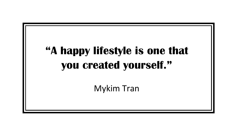## "A happy lifestyle is one that you created yourself."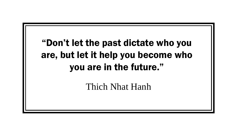#### "Don't let the past dictate who you are, but let it help you become who you are in the future."

Thich Nhat Hanh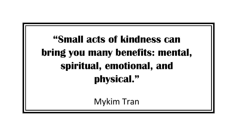**"Small acts of kindness can bring you many benefits: mental, spiritual, emotional, and physical."**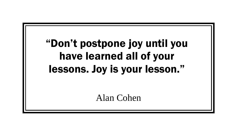## "Don't postpone joy until you have learned all of your lessons. Joy is your lesson."

Alan Cohen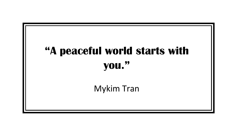# "A peaceful world starts with you." Mykim Tran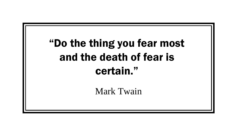## "Do the thing you fear most and the death of fear is certain."

Mark Twain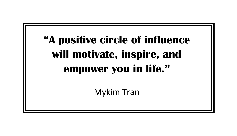# **"A positive circle of influence will motivate, inspire, and empower you in life."**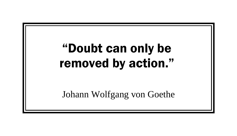# "Doubt can only be removed by action."

Johann Wolfgang von Goethe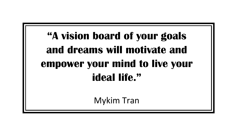## **"A vision board of your goals and dreams will motivate and empower your mind to live your ideal life."**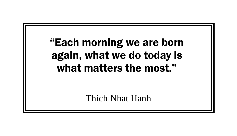#### "Each morning we are born again, what we do today is what matters the most."

Thich Nhat Hanh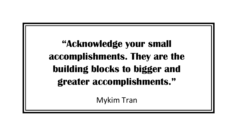#### **"Acknowledge your small accomplishments. They are the building blocks to bigger and greater accomplishments."**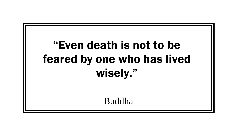# "Even death is not to be feared by one who has lived wisely."

Buddha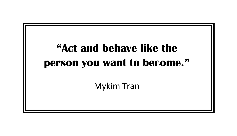## "Act and behave like the person you want to become."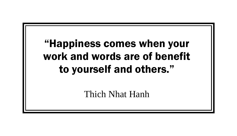#### "Happiness comes when your work and words are of benefit to yourself and others."

Thich Nhat Hanh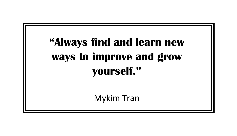# "Always find and learn new ways to improve and grow vourself."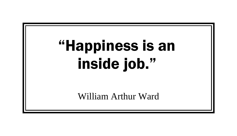# "Happiness is an inside job."

William Arthur Ward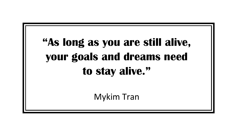# **"As long as you are still alive, your goals and dreams need to stay alive."**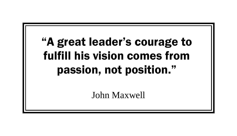# "A great leader's courage to fulfill his vision comes from passion, not position."

John Maxwell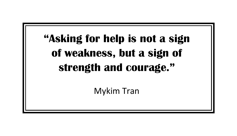# **"Asking for help is not a sign of weakness, but a sign of strength and courage."**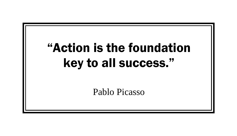# "Action is the foundation key to all success."

Pablo Picasso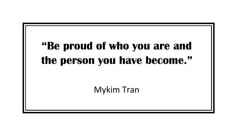## "Be proud of who you are and the person you have become."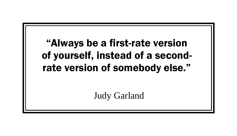#### "Always be a first-rate version of yourself, instead of a secondrate version of somebody else."

Judy Garland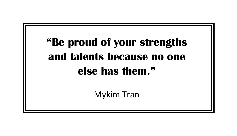# **"Be proud of your strengths and talents because no one else has them."**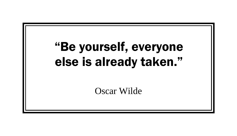# "Be yourself, everyone else is already taken." Oscar Wilde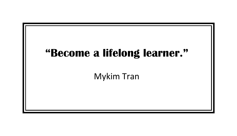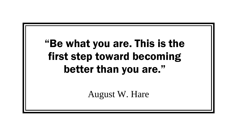#### "Be what you are. This is the first step toward becoming better than you are."

August W. Hare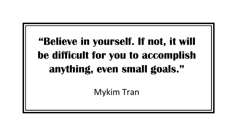# **"Believe in yourself. If not, it will be difficult for you to accomplish anything, even small goals."**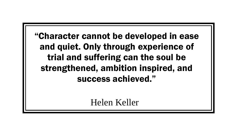"Character cannot be developed in ease and quiet. Only through experience of trial and suffering can the soul be strengthened, ambition inspired, and success achieved."

Helen Keller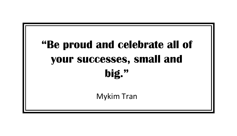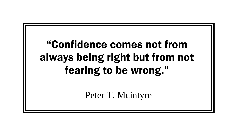#### "Confidence comes not from always being right but from not fearing to be wrong."

Peter T. Mcintyre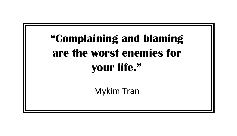# "Complaining and blaming are the worst enemies for vour life."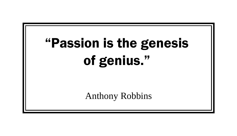# "Passion is the genesis of genius."

Anthony Robbins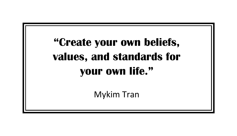# **"Create your own beliefs, values, and standards for your own life."**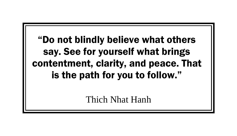#### "Do not blindly believe what others say. See for yourself what brings contentment, clarity, and peace. That is the path for you to follow."

Thich Nhat Hanh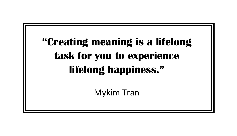#### "Creating meaning is a lifelong task for you to experience lifelong happiness."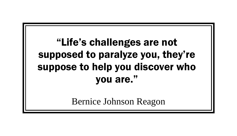#### "Life's challenges are not supposed to paralyze you, they're suppose to help you discover who you are."

Bernice Johnson Reagon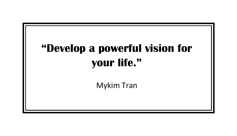# "Develop a powerful vision for your life."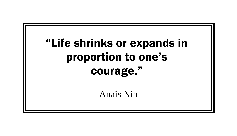# "Life shrinks or expands in proportion to one's courage."

Anais Nin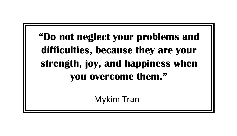#### **"Do not neglect your problems and difficulties, because they are your strength, joy, and happiness when you overcome them."**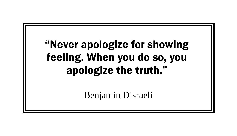#### "Never apologize for showing feeling. When you do so, you apologize the truth."

Benjamin Disraeli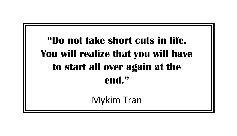#### **"Do not take short cuts in life. You will realize that you will have to start all over again at the end."**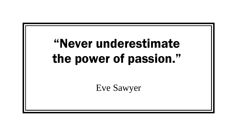# "Never underestimate the power of passion." Eve Sawyer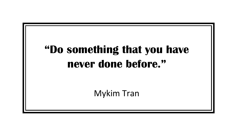# "Do something that you have never done before."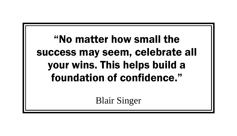#### "No matter how small the success may seem, celebrate all your wins. This helps build a foundation of confidence."

Blair Singer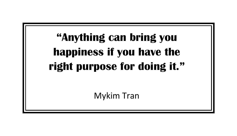# "Anything can bring you happiness if you have the right purpose for doing it."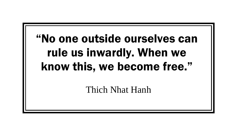#### "No one outside ourselves can rule us inwardly. When we know this, we become free."

Thich Nhat Hanh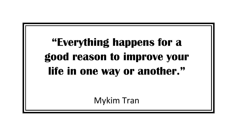#### **"Everything happens for a good reason to improve your life in one way or another."**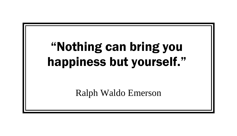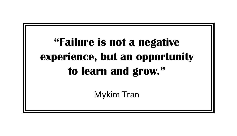#### **"Failure is not a negative experience, but an opportunity to learn and grow."**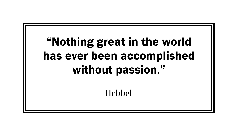### "Nothing great in the world has ever been accomplished without passion."

Hebbel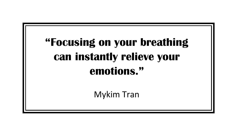### "Focusing on your breathing can instantly relieve your emotions."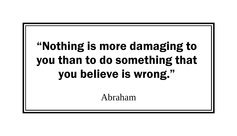### "Nothing is more damaging to you than to do something that you believe is wrong."

Abraham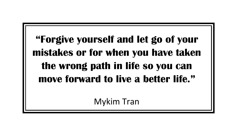**"Forgive yourself and let go of your mistakes or for when you have taken the wrong path in life so you can move forward to live a better life."**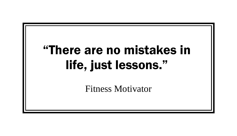### "There are no mistakes in life, just lessons."

Fitness Motivator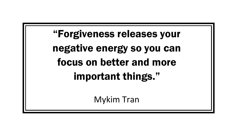"Forgiveness releases your negative energy so you can focus on better and more important things."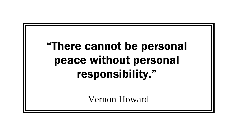# "There cannot be personal peace without personal responsibility."

Vernon Howard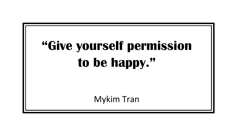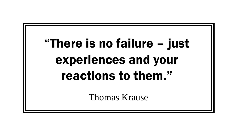# "There is no failure – just experiences and your reactions to them."

Thomas Krause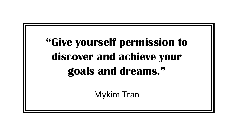### "Give yourself permission to discover and achieve your goals and dreams."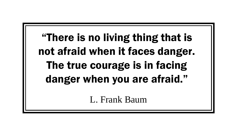"There is no living thing that is not afraid when it faces danger. The true courage is in facing danger when you are afraid."

L. Frank Baum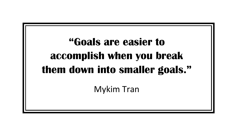### **"Goals are easier to accomplish when you break them down into smaller goals."**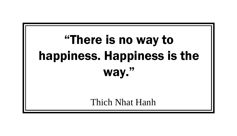# "There is no way to happiness. Happiness is the way."

Thich Nhat Hanh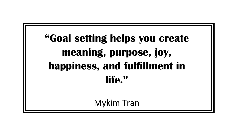# **"Goal setting helps you create meaning, purpose, joy, happiness, and fulfillment in life."**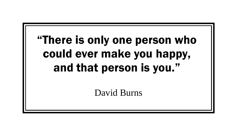#### "There is only one person who could ever make you happy, and that person is you."

David Burns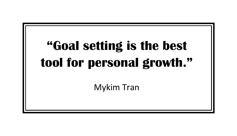# "Goal setting is the best tool for personal growth."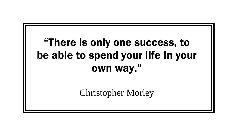#### "There is only one success, to be able to spend your life in your own way."

Christopher Morley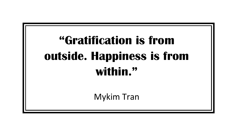## "Gratification is from outside. Happiness is from within."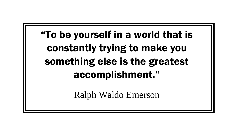"To be yourself in a world that is constantly trying to make you something else is the greatest accomplishment."

Ralph Waldo Emerson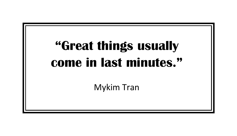# "Great things usually come in last minutes." **Mykim Tran**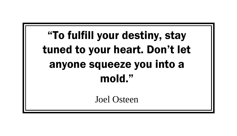### "To fulfill your destiny, stay tuned to your heart. Don't let anyone squeeze you into a mold."

Joel Osteen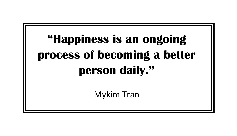# "Happiness is an ongoing process of becoming a better person daily."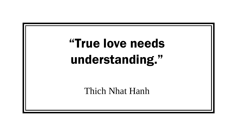# "True love needs understanding." Thich Nhat Hanh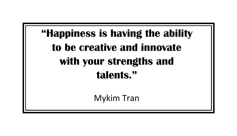# "Happiness is having the ability to be creative and innovate with your strengths and talents."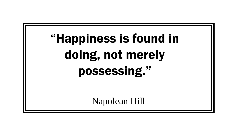# "Happiness is found in doing, not merely possessing."

Napolean Hill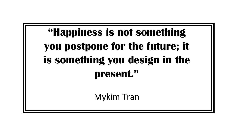#### **"Happiness is not something you postpone for the future; it is something you design in the present."**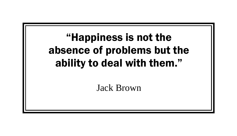# "Happiness is not the absence of problems but the ability to deal with them." Jack Brown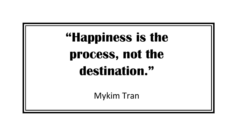# "Happiness is the process, not the destination."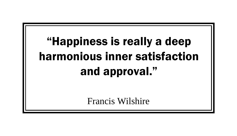#### "Happiness is really a deep harmonious inner satisfaction and approval."

Francis Wilshire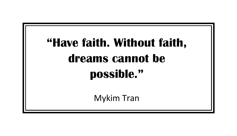# "Have faith. Without faith, dreams cannot be possible." Mykim Tran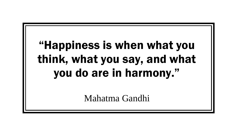#### "Happiness is when what you think, what you say, and what you do are in harmony."

Mahatma Gandhi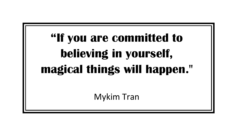# **"If you are committed to believing in yourself, magical things will happen."**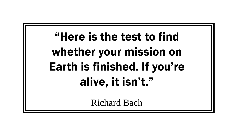#### "Here is the test to find whether your mission on Earth is finished. If you're alive, it isn't."

Richard Bach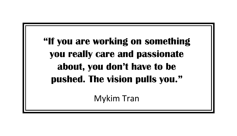**"If you are working on something you really care and passionate about, you don't have to be pushed. The vision pulls you."**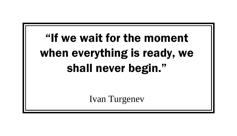#### "If we wait for the moment when everything is ready, we shall never begin."

Ivan Turgenev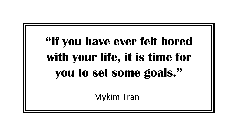### **"If you have ever felt bored with your life, it is time for you to set some goals."**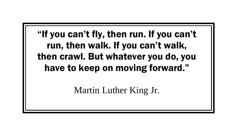"If you can't fly, then run. If you can't run, then walk. If you can't walk, then crawl. But whatever you do, you have to keep on moving forward."

Martin Luther King Jr.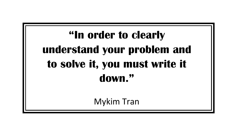### **"In order to clearly understand your problem and to solve it, you must write it down."**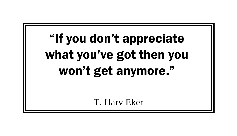# "If you don't appreciate what you've got then you won't get anymore."

T. Harv Eker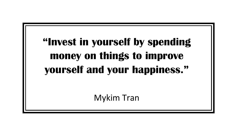#### **"Invest in yourself by spending money on things to improve yourself and your happiness."**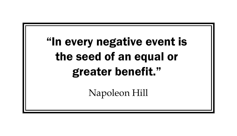### "In every negative event is the seed of an equal or greater benefit."

Napoleon Hill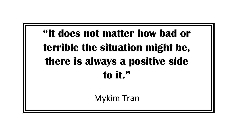#### **"It does not matter how bad or terrible the situation might be, there is always a positive side to it."**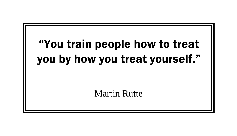#### "You train people how to treat you by how you treat yourself."

Martin Rutte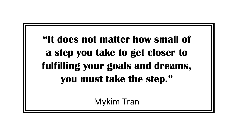**"It does not matter how small of a step you take to get closer to fulfilling your goals and dreams, you must take the step."**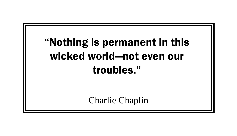#### "Nothing is permanent in this wicked world—not even our troubles."

Charlie Chaplin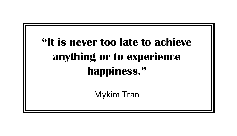### "It is never too late to achieve anything or to experience happiness."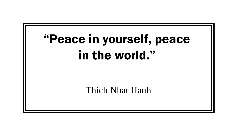### "Peace in yourself, peace in the world."

Thich Nhat Hanh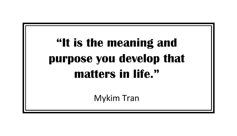# "It is the meaning and purpose you develop that matters in life."